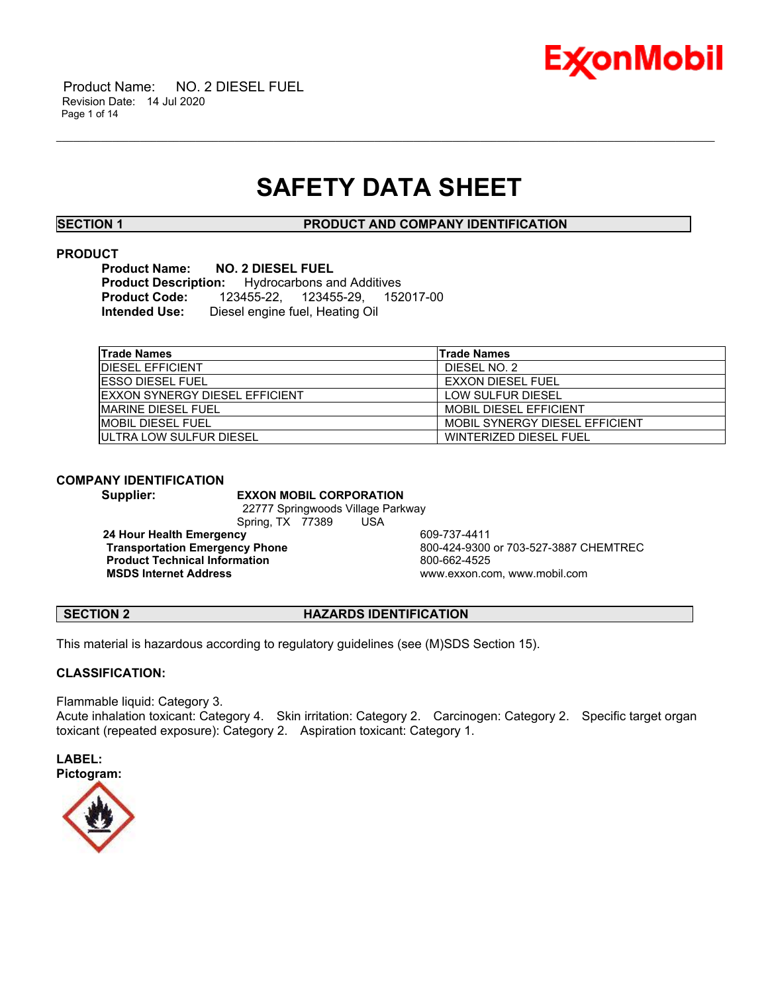

# **SAFETY DATA SHEET**

\_\_\_\_\_\_\_\_\_\_\_\_\_\_\_\_\_\_\_\_\_\_\_\_\_\_\_\_\_\_\_\_\_\_\_\_\_\_\_\_\_\_\_\_\_\_\_\_\_\_\_\_\_\_\_\_\_\_\_\_\_\_\_\_\_\_\_\_\_\_\_\_\_\_\_\_\_\_\_\_\_\_\_\_\_\_\_\_\_\_\_\_\_\_\_\_\_\_\_\_\_\_\_\_\_\_\_\_\_\_\_\_\_\_\_\_\_\_

**SECTION 1 PRODUCT AND COMPANY IDENTIFICATION**

# **PRODUCT**

**Product Name: NO. 2 DIESEL FUEL Production: Productive Brood Additives**<br>123455-22, 123455-29, 152 **Product Code:** 123455-22, 123455-29, 152017-00 **Intended Use:** Diesel engine fuel, Heating Oil

| <b>Trade Names</b>                     | <b>Trade Names</b>             |
|----------------------------------------|--------------------------------|
| <b>IDIESEL EFFICIENT</b>               | DIESEL NO. 2                   |
| <b>IESSO DIESEL FUEL</b>               | <b>EXXON DIESEL FUEL</b>       |
| <b>IEXXON SYNERGY DIESEL EFFICIENT</b> | LOW SULFUR DIESEL              |
| IMARINE DIESEL FUEL                    | <b>MOBIL DIESEL EFFICIENT</b>  |
| IMOBIL DIESEL FUEL                     | MOBIL SYNERGY DIESEL FEFICIENT |
| <b>IULTRA LOW SULFUR DIESEL</b>        | WINTERIZED DIESEL FUEL         |

### **COMPANY IDENTIFICATION**

**Supplier: EXXON MOBIL CORPORATION** 22777 Springwoods Village Parkway Spring, TX 77389 USA

**24 Hour Health Emergency**<br> **Transportation Emergency Phone**<br>
800-424-9300 **Product Technical Information** 800-662-4525

**Transportation Emergency Phone** 800-424-9300 or 703-527-3887 CHEMTREC **MSDS Internet Address** www.exxon.com, www.mobil.com

# **SECTION 2 HAZARDS IDENTIFICATION**

This material is hazardous according to regulatory guidelines (see (M)SDS Section 15).

# **CLASSIFICATION:**

Flammable liquid: Category 3. Acute inhalation toxicant: Category 4. Skin irritation: Category 2. Carcinogen: Category 2. Specific target organ toxicant (repeated exposure): Category 2. Aspiration toxicant: Category 1.



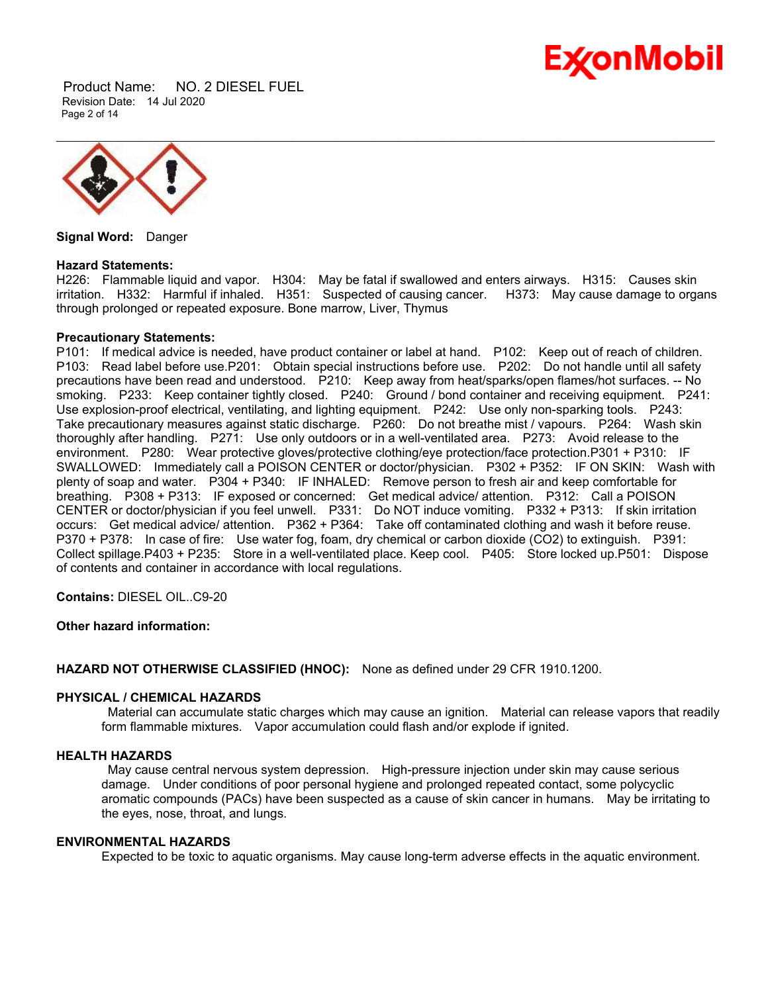

 Product Name: NO. 2 DIESEL FUEL Revision Date: 14 Jul 2020 Page 2 of 14



**Signal Word:** Danger

#### **Hazard Statements:**

H226: Flammable liquid and vapor. H304: May be fatal if swallowed and enters airways. H315: Causes skin irritation. H332: Harmful if inhaled. H351: Suspected of causing cancer. H373: May cause damage to organs through prolonged or repeated exposure. Bone marrow, Liver, Thymus

### **Precautionary Statements:**

P101: If medical advice is needed, have product container or label at hand. P102: Keep out of reach of children. P103: Read label before use.P201: Obtain special instructions before use. P202: Do not handle until all safety precautions have been read and understood. P210: Keep away from heat/sparks/open flames/hot surfaces. -- No smoking. P233: Keep container tightly closed. P240: Ground / bond container and receiving equipment. P241: Use explosion-proof electrical, ventilating, and lighting equipment. P242: Use only non-sparking tools. P243: Take precautionary measures against static discharge. P260: Do not breathe mist / vapours. P264: Wash skin thoroughly after handling. P271: Use only outdoors or in a well-ventilated area. P273: Avoid release to the environment. P280: Wear protective gloves/protective clothing/eye protection/face protection.P301 + P310: IF SWALLOWED: Immediately call a POISON CENTER or doctor/physician. P302 + P352: IF ON SKIN: Wash with plenty of soap and water. P304 + P340: IF INHALED: Remove person to fresh air and keep comfortable for breathing. P308 + P313: IF exposed or concerned: Get medical advice/ attention. P312: Call a POISON CENTER or doctor/physician if you feel unwell. P331: Do NOT induce vomiting. P332 + P313: If skin irritation occurs: Get medical advice/ attention. P362 + P364: Take off contaminated clothing and wash it before reuse. P370 + P378: In case of fire: Use water fog, foam, dry chemical or carbon dioxide (CO2) to extinguish. P391: Collect spillage.P403 + P235: Store in a well-ventilated place. Keep cool. P405: Store locked up.P501: Dispose of contents and container in accordance with local regulations.

**Contains:** DIESEL OIL..C9-20

# **Other hazard information:**

**HAZARD NOT OTHERWISE CLASSIFIED (HNOC):** None as defined under 29 CFR 1910.1200.

## **PHYSICAL / CHEMICAL HAZARDS**

Material can accumulate static charges which may cause an ignition. Material can release vapors that readily form flammable mixtures. Vapor accumulation could flash and/or explode if ignited.

#### **HEALTH HAZARDS**

May cause central nervous system depression. High-pressure injection under skin may cause serious damage. Under conditions of poor personal hygiene and prolonged repeated contact, some polycyclic aromatic compounds (PACs) have been suspected as a cause of skin cancer in humans. May be irritating to the eyes, nose, throat, and lungs.

### **ENVIRONMENTAL HAZARDS**

Expected to be toxic to aquatic organisms. May cause long-term adverse effects in the aquatic environment.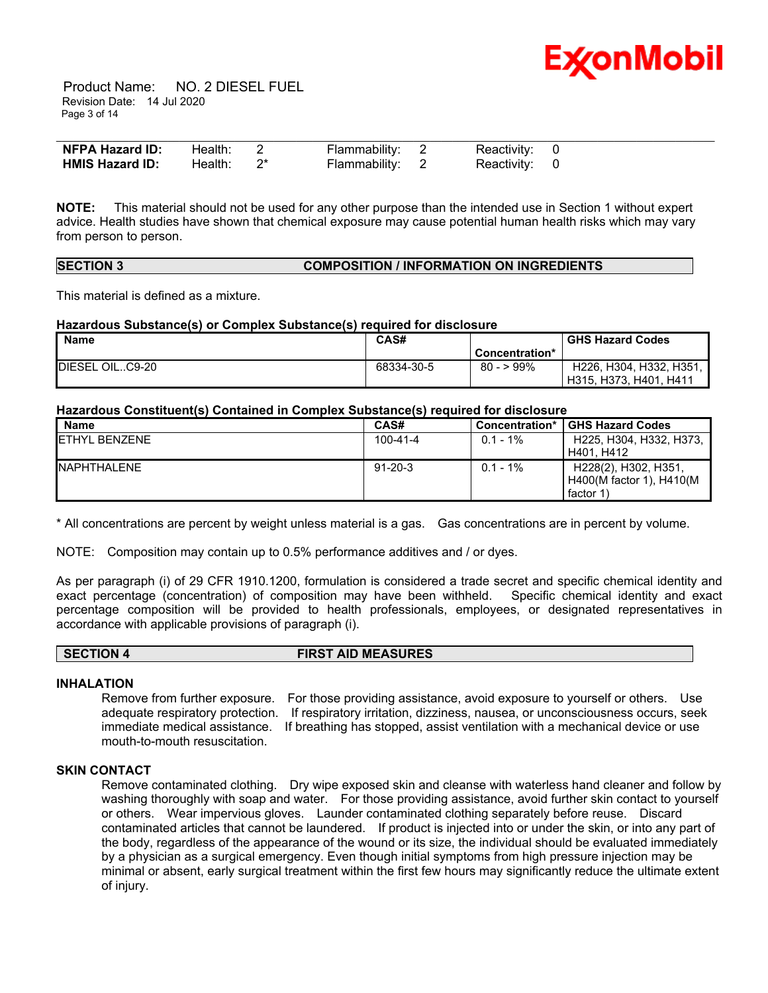

 Product Name: NO. 2 DIESEL FUEL Revision Date: 14 Jul 2020 Page 3 of 14

| NFPA Hazard ID:        | Health: 2 | Flammability: 2 | Reactivity: 0 |  |
|------------------------|-----------|-----------------|---------------|--|
| <b>HMIS Hazard ID:</b> | Health:   | Flammability: 2 | Reactivity: 0 |  |

**NOTE:** This material should not be used for any other purpose than the intended use in Section 1 without expert advice. Health studies have shown that chemical exposure may cause potential human health risks which may vary from person to person.

#### **SECTION 3 COMPOSITION / INFORMATION ON INGREDIENTS**

This material is defined as a mixture.

### **Hazardous Substance(s) or Complex Substance(s) required for disclosure**

| <b>Name</b>     | CAS#       |                | <b>GHS Hazard Codes</b> |
|-----------------|------------|----------------|-------------------------|
|                 |            | Concentration* |                         |
| DIESEL OILC9-20 | 68334-30-5 | $80 - 99\%$    | H226, H304, H332, H351, |
|                 |            |                | H315, H373, H401, H411  |

### **Hazardous Constituent(s) Contained in Complex Substance(s) required for disclosure**

| Name                  | CAS#           | Concentration* | <b>GHS Hazard Codes</b>  |
|-----------------------|----------------|----------------|--------------------------|
| <b>IETHYL BENZENE</b> | $100 - 41 - 4$ | $0.1 - 1\%$    | H225, H304, H332, H373,  |
|                       |                |                | H401, H412               |
| <b>INAPHTHALENE</b>   | $91 - 20 - 3$  | $0.1 - 1\%$    | H228(2), H302, H351,     |
|                       |                |                | H400(M factor 1), H410(M |
|                       |                |                | factor 1)                |

\* All concentrations are percent by weight unless material is a gas. Gas concentrations are in percent by volume.

NOTE: Composition may contain up to 0.5% performance additives and / or dyes.

As per paragraph (i) of 29 CFR 1910.1200, formulation is considered a trade secret and specific chemical identity and exact percentage (concentration) of composition may have been withheld. Specific chemical identity and exact percentage composition will be provided to health professionals, employees, or designated representatives in accordance with applicable provisions of paragraph (i).

**SECTION 4 FIRST AID MEASURES**

#### **INHALATION**

Remove from further exposure. For those providing assistance, avoid exposure to yourself or others. Use adequate respiratory protection. If respiratory irritation, dizziness, nausea, or unconsciousness occurs, seek immediate medical assistance. If breathing has stopped, assist ventilation with a mechanical device or use mouth-to-mouth resuscitation.

### **SKIN CONTACT**

Remove contaminated clothing. Dry wipe exposed skin and cleanse with waterless hand cleaner and follow by washing thoroughly with soap and water. For those providing assistance, avoid further skin contact to yourself or others. Wear impervious gloves. Launder contaminated clothing separately before reuse. Discard contaminated articles that cannot be laundered. If product is injected into or under the skin, or into any part of the body, regardless of the appearance of the wound or its size, the individual should be evaluated immediately by a physician as a surgical emergency. Even though initial symptoms from high pressure injection may be minimal or absent, early surgical treatment within the first few hours may significantly reduce the ultimate extent of injury.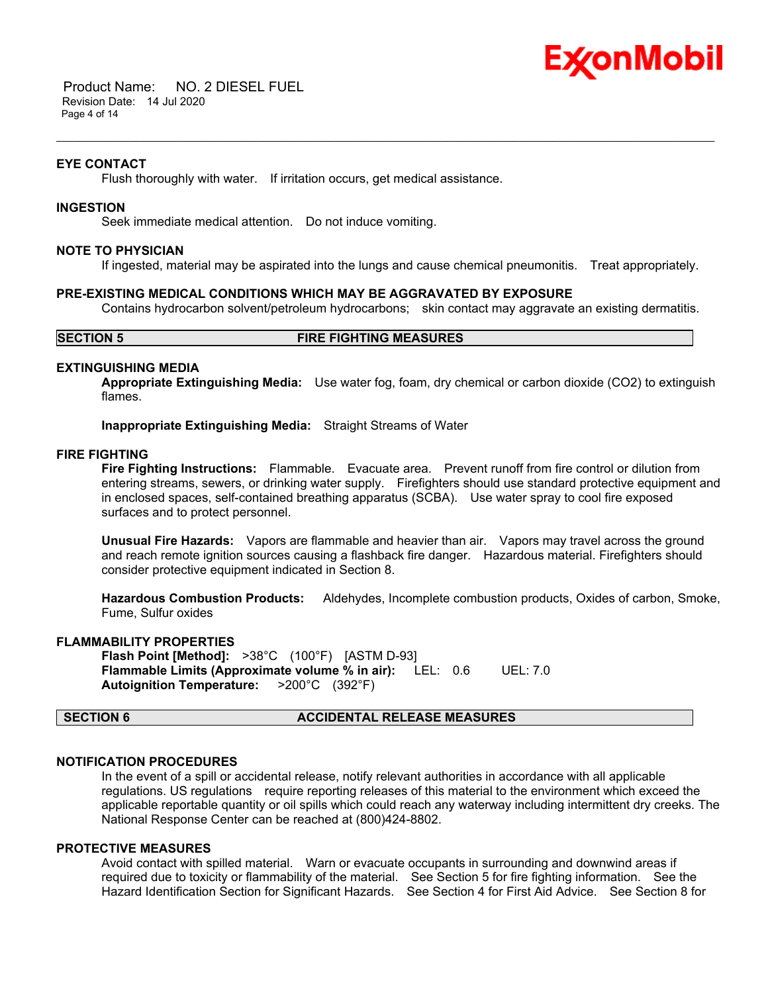

 Product Name: NO. 2 DIESEL FUEL Revision Date: 14 Jul 2020 Page 4 of 14

#### **EYE CONTACT**

Flush thoroughly with water. If irritation occurs, get medical assistance.

# **INGESTION**

Seek immediate medical attention. Do not induce vomiting.

### **NOTE TO PHYSICIAN**

If ingested, material may be aspirated into the lungs and cause chemical pneumonitis. Treat appropriately.

\_\_\_\_\_\_\_\_\_\_\_\_\_\_\_\_\_\_\_\_\_\_\_\_\_\_\_\_\_\_\_\_\_\_\_\_\_\_\_\_\_\_\_\_\_\_\_\_\_\_\_\_\_\_\_\_\_\_\_\_\_\_\_\_\_\_\_\_\_\_\_\_\_\_\_\_\_\_\_\_\_\_\_\_\_\_\_\_\_\_\_\_\_\_\_\_\_\_\_\_\_\_\_\_\_\_\_\_\_\_\_\_\_\_\_\_\_\_

#### **PRE-EXISTING MEDICAL CONDITIONS WHICH MAY BE AGGRAVATED BY EXPOSURE**

Contains hydrocarbon solvent/petroleum hydrocarbons; skin contact may aggravate an existing dermatitis.

### **SECTION 5 FIRE FIGHTING MEASURES**

#### **EXTINGUISHING MEDIA**

**Appropriate Extinguishing Media:** Use water fog, foam, dry chemical or carbon dioxide (CO2) to extinguish flames.

**Inappropriate Extinguishing Media:** Straight Streams of Water

### **FIRE FIGHTING**

**Fire Fighting Instructions:** Flammable. Evacuate area. Prevent runoff from fire control or dilution from entering streams, sewers, or drinking water supply. Firefighters should use standard protective equipment and in enclosed spaces, self-contained breathing apparatus (SCBA). Use water spray to cool fire exposed surfaces and to protect personnel.

**Unusual Fire Hazards:** Vapors are flammable and heavier than air. Vapors may travel across the ground and reach remote ignition sources causing a flashback fire danger. Hazardous material. Firefighters should consider protective equipment indicated in Section 8.

**Hazardous Combustion Products:** Aldehydes, Incomplete combustion products, Oxides of carbon, Smoke, Fume, Sulfur oxides

# **FLAMMABILITY PROPERTIES**

**Flash Point [Method]:** >38°C (100°F) [ASTM D-93] **Flammable Limits (Approximate volume % in air):** LEL: 0.6 UEL: 7.0 **Autoignition Temperature:** >200°C (392°F)

# **SECTION 6 ACCIDENTAL RELEASE MEASURES**

#### **NOTIFICATION PROCEDURES**

In the event of a spill or accidental release, notify relevant authorities in accordance with all applicable regulations. US regulations require reporting releases of this material to the environment which exceed the applicable reportable quantity or oil spills which could reach any waterway including intermittent dry creeks. The National Response Center can be reached at (800)424-8802.

### **PROTECTIVE MEASURES**

Avoid contact with spilled material. Warn or evacuate occupants in surrounding and downwind areas if required due to toxicity or flammability of the material. See Section 5 for fire fighting information. See the Hazard Identification Section for Significant Hazards. See Section 4 for First Aid Advice. See Section 8 for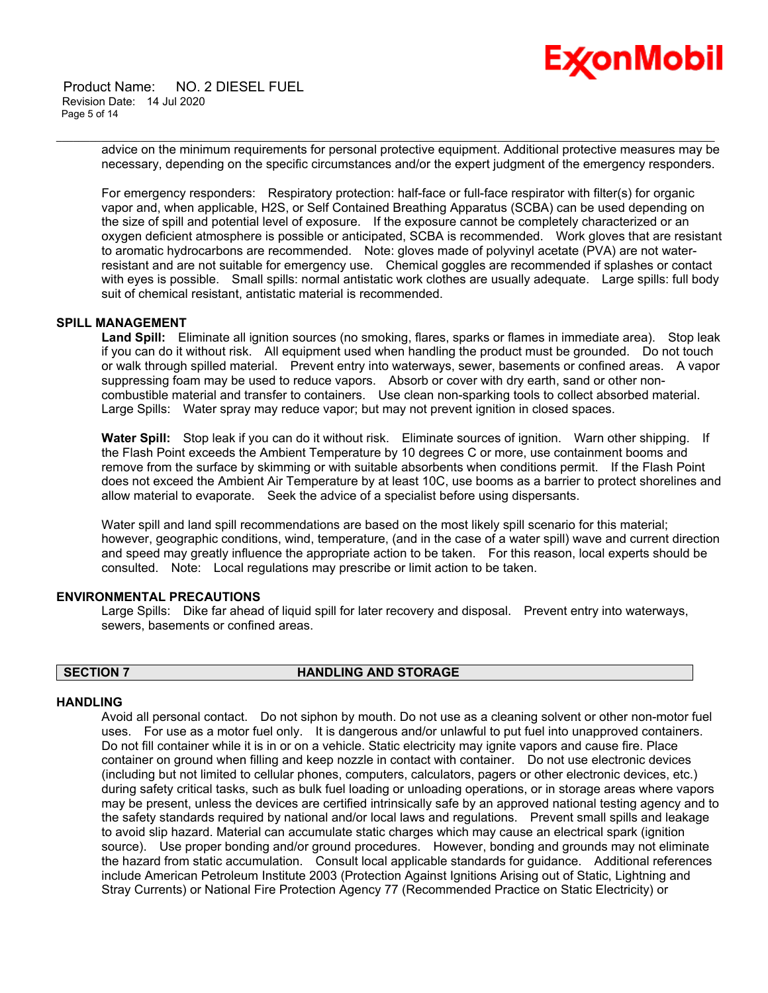

 Product Name: NO. 2 DIESEL FUEL Revision Date: 14 Jul 2020 Page 5 of 14

> advice on the minimum requirements for personal protective equipment. Additional protective measures may be necessary, depending on the specific circumstances and/or the expert judgment of the emergency responders.

\_\_\_\_\_\_\_\_\_\_\_\_\_\_\_\_\_\_\_\_\_\_\_\_\_\_\_\_\_\_\_\_\_\_\_\_\_\_\_\_\_\_\_\_\_\_\_\_\_\_\_\_\_\_\_\_\_\_\_\_\_\_\_\_\_\_\_\_\_\_\_\_\_\_\_\_\_\_\_\_\_\_\_\_\_\_\_\_\_\_\_\_\_\_\_\_\_\_\_\_\_\_\_\_\_\_\_\_\_\_\_\_\_\_\_\_\_\_

For emergency responders: Respiratory protection: half-face or full-face respirator with filter(s) for organic vapor and, when applicable, H2S, or Self Contained Breathing Apparatus (SCBA) can be used depending on the size of spill and potential level of exposure. If the exposure cannot be completely characterized or an oxygen deficient atmosphere is possible or anticipated, SCBA is recommended. Work gloves that are resistant to aromatic hydrocarbons are recommended. Note: gloves made of polyvinyl acetate (PVA) are not waterresistant and are not suitable for emergency use. Chemical goggles are recommended if splashes or contact with eyes is possible. Small spills: normal antistatic work clothes are usually adequate. Large spills: full body suit of chemical resistant, antistatic material is recommended.

#### **SPILL MANAGEMENT**

**Land Spill:** Eliminate all ignition sources (no smoking, flares, sparks or flames in immediate area). Stop leak if you can do it without risk. All equipment used when handling the product must be grounded. Do not touch or walk through spilled material. Prevent entry into waterways, sewer, basements or confined areas. A vapor suppressing foam may be used to reduce vapors. Absorb or cover with dry earth, sand or other noncombustible material and transfer to containers. Use clean non-sparking tools to collect absorbed material. Large Spills: Water spray may reduce vapor; but may not prevent ignition in closed spaces.

**Water Spill:** Stop leak if you can do it without risk. Eliminate sources of ignition. Warn other shipping. If the Flash Point exceeds the Ambient Temperature by 10 degrees C or more, use containment booms and remove from the surface by skimming or with suitable absorbents when conditions permit. If the Flash Point does not exceed the Ambient Air Temperature by at least 10C, use booms as a barrier to protect shorelines and allow material to evaporate. Seek the advice of a specialist before using dispersants.

Water spill and land spill recommendations are based on the most likely spill scenario for this material; however, geographic conditions, wind, temperature, (and in the case of a water spill) wave and current direction and speed may greatly influence the appropriate action to be taken. For this reason, local experts should be consulted. Note: Local regulations may prescribe or limit action to be taken.

#### **ENVIRONMENTAL PRECAUTIONS**

Large Spills: Dike far ahead of liquid spill for later recovery and disposal. Prevent entry into waterways, sewers, basements or confined areas.

#### **SECTION 7 HANDLING AND STORAGE**

# **HANDLING**

Avoid all personal contact. Do not siphon by mouth. Do not use as a cleaning solvent or other non-motor fuel uses. For use as a motor fuel only. It is dangerous and/or unlawful to put fuel into unapproved containers. Do not fill container while it is in or on a vehicle. Static electricity may ignite vapors and cause fire. Place container on ground when filling and keep nozzle in contact with container. Do not use electronic devices (including but not limited to cellular phones, computers, calculators, pagers or other electronic devices, etc.) during safety critical tasks, such as bulk fuel loading or unloading operations, or in storage areas where vapors may be present, unless the devices are certified intrinsically safe by an approved national testing agency and to the safety standards required by national and/or local laws and regulations. Prevent small spills and leakage to avoid slip hazard. Material can accumulate static charges which may cause an electrical spark (ignition source). Use proper bonding and/or ground procedures. However, bonding and grounds may not eliminate the hazard from static accumulation. Consult local applicable standards for guidance. Additional references include American Petroleum Institute 2003 (Protection Against Ignitions Arising out of Static, Lightning and Stray Currents) or National Fire Protection Agency 77 (Recommended Practice on Static Electricity) or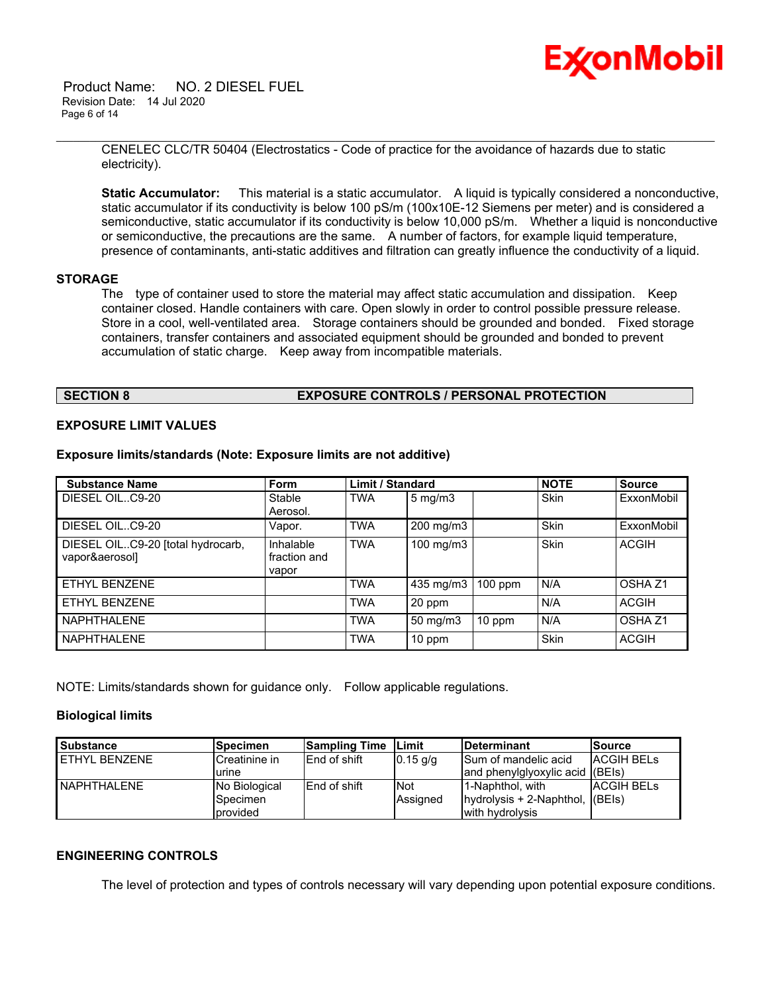Product Name: NO. 2 DIESEL FUEL Revision Date: 14 Jul 2020 Page 6 of 14



\_\_\_\_\_\_\_\_\_\_\_\_\_\_\_\_\_\_\_\_\_\_\_\_\_\_\_\_\_\_\_\_\_\_\_\_\_\_\_\_\_\_\_\_\_\_\_\_\_\_\_\_\_\_\_\_\_\_\_\_\_\_\_\_\_\_\_\_\_\_\_\_\_\_\_\_\_\_\_\_\_\_\_\_\_\_\_\_\_\_\_\_\_\_\_\_\_\_\_\_\_\_\_\_\_\_\_\_\_\_\_\_\_\_\_\_\_\_ CENELEC CLC/TR 50404 (Electrostatics - Code of practice for the avoidance of hazards due to static electricity).

**Static Accumulator:** This material is a static accumulator. A liquid is typically considered a nonconductive, static accumulator if its conductivity is below 100 pS/m (100x10E-12 Siemens per meter) and is considered a semiconductive, static accumulator if its conductivity is below 10,000 pS/m. Whether a liquid is nonconductive or semiconductive, the precautions are the same. A number of factors, for example liquid temperature, presence of contaminants, anti-static additives and filtration can greatly influence the conductivity of a liquid.

### **STORAGE**

The type of container used to store the material may affect static accumulation and dissipation. Keep container closed. Handle containers with care. Open slowly in order to control possible pressure release. Store in a cool, well-ventilated area. Storage containers should be grounded and bonded. Fixed storage containers, transfer containers and associated equipment should be grounded and bonded to prevent accumulation of static charge. Keep away from incompatible materials.

# **SECTION 8 EXPOSURE CONTROLS / PERSONAL PROTECTION**

#### **EXPOSURE LIMIT VALUES**

**Substance Name Form Limit / Standard NOTE Source** DIESEL OIL..C9-20 Stable Aerosol. TWA | 5 mg/m3 | Skin | ExxonMobil DIESEL OIL..C9-20 Vapor. TWA 200 mg/m3 Skin ExxonMobil DIESEL OIL..C9-20 [total hydrocarb, vapor&aerosol] Inhalable fraction and vapor TWA | 100 mg/m3 | Skin | ACGIH ETHYL BENZENE TWA 435 mg/m3 100 ppm N/A OSHA Z1 ETHYL BENZENE TWA 20 ppm N/A ACGIH NAPHTHALENE TWA 50 mg/m3 10 ppm N/A OSHA Z1

NAPHTHALENE | TWA | 10 ppm | Skin | ACGIH

**Exposure limits/standards (Note: Exposure limits are not additive)**

NOTE: Limits/standards shown for guidance only. Follow applicable regulations.

#### **Biological limits**

| <b>Substance</b> | <b>Specimen</b> | <b>Sampling Time</b> | <b>Limit</b> | Determinant                     | <b>Source</b>     |
|------------------|-----------------|----------------------|--------------|---------------------------------|-------------------|
| FTHYL BENZENE    | Creatinine in   | <b>IEnd of shift</b> | $0.15$ g/g   | ISum of mandelic acid           | <b>ACGIH BELS</b> |
|                  | lurine          |                      |              | and phenylglyoxylic acid (BEIs) |                   |
| NAPHTHALENE      | No Biological   | <b>End of shift</b>  | <b>Not</b>   | l1-Naphthol. with               | <b>ACGIH BELS</b> |
|                  | Specimen        |                      | Assigned     | hydrolysis + 2-Naphthol,        | (BE(s))           |
|                  | provided        |                      |              | with hydrolysis                 |                   |

# **ENGINEERING CONTROLS**

The level of protection and types of controls necessary will vary depending upon potential exposure conditions.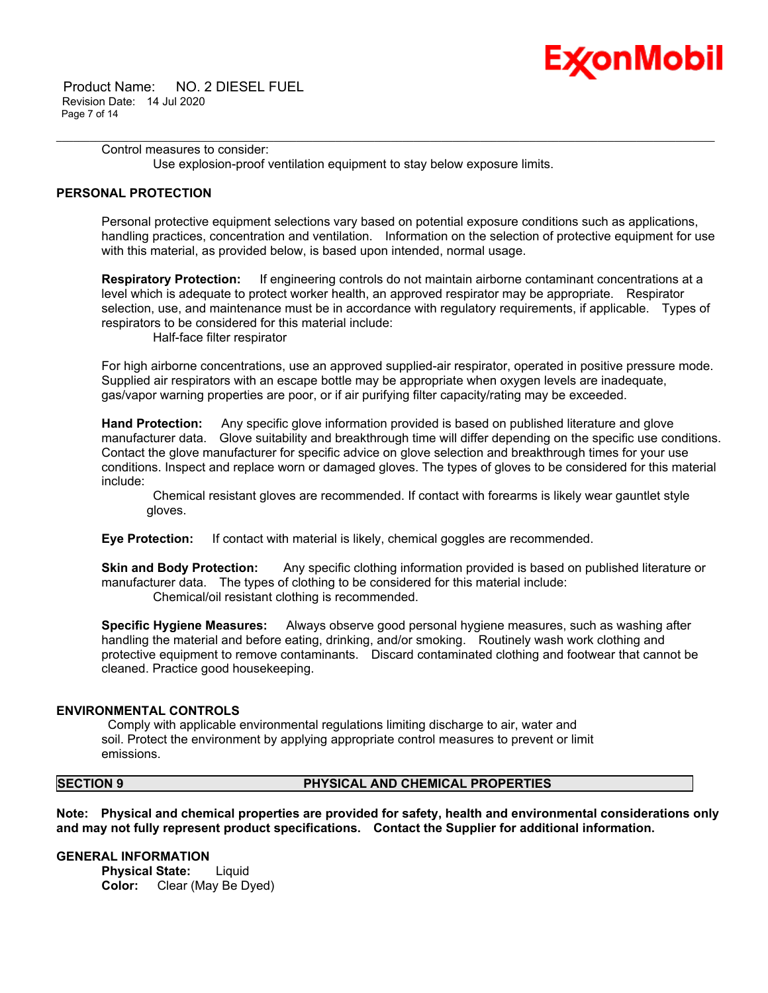

 Product Name: NO. 2 DIESEL FUEL Revision Date: 14 Jul 2020 Page 7 of 14

> Control measures to consider: Use explosion-proof ventilation equipment to stay below exposure limits.

# **PERSONAL PROTECTION**

Personal protective equipment selections vary based on potential exposure conditions such as applications, handling practices, concentration and ventilation. Information on the selection of protective equipment for use with this material, as provided below, is based upon intended, normal usage.

\_\_\_\_\_\_\_\_\_\_\_\_\_\_\_\_\_\_\_\_\_\_\_\_\_\_\_\_\_\_\_\_\_\_\_\_\_\_\_\_\_\_\_\_\_\_\_\_\_\_\_\_\_\_\_\_\_\_\_\_\_\_\_\_\_\_\_\_\_\_\_\_\_\_\_\_\_\_\_\_\_\_\_\_\_\_\_\_\_\_\_\_\_\_\_\_\_\_\_\_\_\_\_\_\_\_\_\_\_\_\_\_\_\_\_\_\_\_

**Respiratory Protection:** If engineering controls do not maintain airborne contaminant concentrations at a level which is adequate to protect worker health, an approved respirator may be appropriate. Respirator selection, use, and maintenance must be in accordance with regulatory requirements, if applicable. Types of respirators to be considered for this material include:

Half-face filter respirator

For high airborne concentrations, use an approved supplied-air respirator, operated in positive pressure mode. Supplied air respirators with an escape bottle may be appropriate when oxygen levels are inadequate, gas/vapor warning properties are poor, or if air purifying filter capacity/rating may be exceeded.

**Hand Protection:** Any specific glove information provided is based on published literature and glove manufacturer data. Glove suitability and breakthrough time will differ depending on the specific use conditions. Contact the glove manufacturer for specific advice on glove selection and breakthrough times for your use conditions. Inspect and replace worn or damaged gloves. The types of gloves to be considered for this material include:

Chemical resistant gloves are recommended. If contact with forearms is likely wear gauntlet style gloves.

**Eye Protection:** If contact with material is likely, chemical goggles are recommended.

**Skin and Body Protection:** Any specific clothing information provided is based on published literature or manufacturer data. The types of clothing to be considered for this material include: Chemical/oil resistant clothing is recommended.

**Specific Hygiene Measures:** Always observe good personal hygiene measures, such as washing after handling the material and before eating, drinking, and/or smoking. Routinely wash work clothing and protective equipment to remove contaminants. Discard contaminated clothing and footwear that cannot be cleaned. Practice good housekeeping.

#### **ENVIRONMENTAL CONTROLS**

Comply with applicable environmental regulations limiting discharge to air, water and soil. Protect the environment by applying appropriate control measures to prevent or limit emissions.

# **SECTION 9 PHYSICAL AND CHEMICAL PROPERTIES**

**Note: Physical and chemical properties are provided for safety, health and environmental considerations only and may not fully represent product specifications. Contact the Supplier for additional information.**

**GENERAL INFORMATION**

**Physical State:** Liquid **Color:** Clear (May Be Dyed)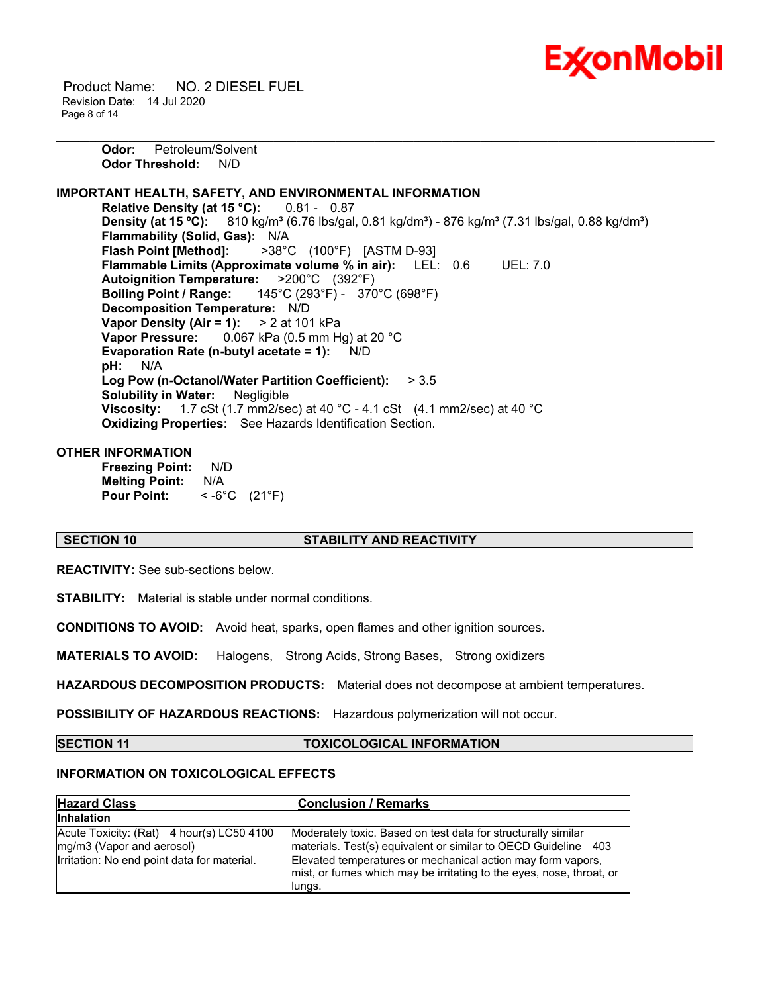

 Product Name: NO. 2 DIESEL FUEL Revision Date: 14 Jul 2020 Page 8 of 14

> **Odor:** Petroleum/Solvent **Odor Threshold:** N/D

# **IMPORTANT HEALTH, SAFETY, AND ENVIRONMENTAL INFORMATION**

**Relative Density (at 15 °C):** 0.81 - 0.87 **Density (at 15 °C):** 810 kg/m<sup>3</sup> (6.76 lbs/gal, 0.81 kg/dm<sup>3</sup>) - 876 kg/m<sup>3</sup> (7.31 lbs/gal, 0.88 kg/dm<sup>3</sup>) **Flammability (Solid, Gas):** N/A **Flash Point [Method]:** >38°C (100°F) [ASTM D-93] **Flammable Limits (Approximate volume % in air):** LEL: 0.6 UEL: 7.0 **Autoignition Temperature:** >200°C (392°F) **Boiling Point / Range:** 145°C (293°F) - 370°C (698°F) **Decomposition Temperature:** N/D **Vapor Density (Air = 1):** > 2 at 101 kPa **Vapor Pressure:** 0.067 kPa (0.5 mm Hg) at 20 °C **Evaporation Rate (n-butyl acetate = 1):** N/D **pH:** N/A **Log Pow (n-Octanol/Water Partition Coefficient):** > 3.5 **Solubility in Water:** Negligible **Viscosity:** 1.7 cSt (1.7 mm2/sec) at 40 °C - 4.1 cSt (4.1 mm2/sec) at 40 °C **Oxidizing Properties:** See Hazards Identification Section.

\_\_\_\_\_\_\_\_\_\_\_\_\_\_\_\_\_\_\_\_\_\_\_\_\_\_\_\_\_\_\_\_\_\_\_\_\_\_\_\_\_\_\_\_\_\_\_\_\_\_\_\_\_\_\_\_\_\_\_\_\_\_\_\_\_\_\_\_\_\_\_\_\_\_\_\_\_\_\_\_\_\_\_\_\_\_\_\_\_\_\_\_\_\_\_\_\_\_\_\_\_\_\_\_\_\_\_\_\_\_\_\_\_\_\_\_\_\_

### **OTHER INFORMATION**

**Freezing Point:** N/D **Melting Point:** N/A **Pour Point:** < -6°C (21°F)

#### **SECTION 10 STABILITY AND REACTIVITY**

**REACTIVITY:** See sub-sections below.

**STABILITY:** Material is stable under normal conditions.

**CONDITIONS TO AVOID:** Avoid heat, sparks, open flames and other ignition sources.

**MATERIALS TO AVOID:** Halogens, Strong Acids, Strong Bases, Strong oxidizers

**HAZARDOUS DECOMPOSITION PRODUCTS:** Material does not decompose at ambient temperatures.

**POSSIBILITY OF HAZARDOUS REACTIONS:** Hazardous polymerization will not occur.

**SECTION 11 TOXICOLOGICAL INFORMATION**

# **INFORMATION ON TOXICOLOGICAL EFFECTS**

| <b>Hazard Class</b>                                                    | <b>Conclusion / Remarks</b>                                                                                                                   |
|------------------------------------------------------------------------|-----------------------------------------------------------------------------------------------------------------------------------------------|
| <b>Inhalation</b>                                                      |                                                                                                                                               |
| Acute Toxicity: (Rat) 4 hour(s) LC50 4100<br>mg/m3 (Vapor and aerosol) | Moderately toxic. Based on test data for structurally similar<br>materials. Test(s) equivalent or similar to OECD Guideline 403               |
| Irritation: No end point data for material.                            | Elevated temperatures or mechanical action may form vapors,<br>mist, or fumes which may be irritating to the eyes, nose, throat, or<br>lungs. |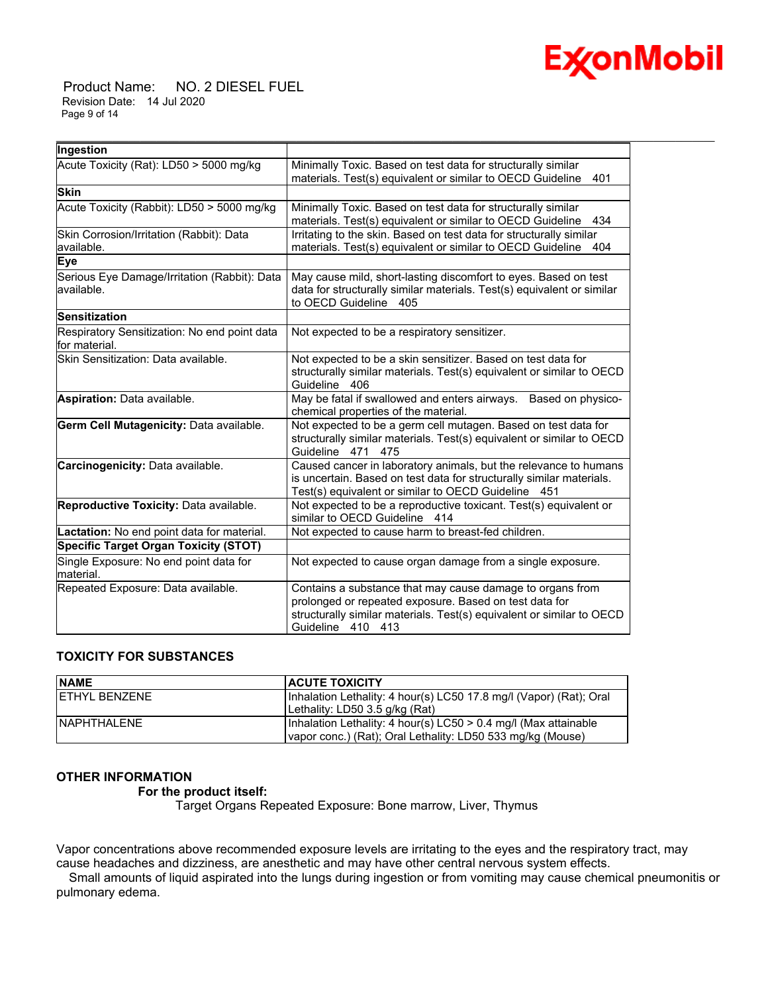

 Product Name: NO. 2 DIESEL FUEL Revision Date: 14 Jul 2020 Page 9 of 14

| Ingestion                                                     |                                                                                                                                                                                                                   |  |  |  |
|---------------------------------------------------------------|-------------------------------------------------------------------------------------------------------------------------------------------------------------------------------------------------------------------|--|--|--|
| Acute Toxicity (Rat): LD50 > 5000 mg/kg                       | Minimally Toxic. Based on test data for structurally similar<br>materials. Test(s) equivalent or similar to OECD Guideline<br>401                                                                                 |  |  |  |
| <b>Skin</b>                                                   |                                                                                                                                                                                                                   |  |  |  |
| Acute Toxicity (Rabbit): LD50 > 5000 mg/kg                    | Minimally Toxic. Based on test data for structurally similar<br>materials. Test(s) equivalent or similar to OECD Guideline<br>434                                                                                 |  |  |  |
| Skin Corrosion/Irritation (Rabbit): Data<br>available.        | Irritating to the skin. Based on test data for structurally similar<br>materials. Test(s) equivalent or similar to OECD Guideline<br>404                                                                          |  |  |  |
| <b>Eye</b>                                                    |                                                                                                                                                                                                                   |  |  |  |
| Serious Eye Damage/Irritation (Rabbit): Data<br>lavailable.   | May cause mild, short-lasting discomfort to eyes. Based on test<br>data for structurally similar materials. Test(s) equivalent or similar<br>to OECD Guideline 405                                                |  |  |  |
| Sensitization                                                 |                                                                                                                                                                                                                   |  |  |  |
| Respiratory Sensitization: No end point data<br>for material. | Not expected to be a respiratory sensitizer.                                                                                                                                                                      |  |  |  |
| Skin Sensitization: Data available.                           | Not expected to be a skin sensitizer. Based on test data for<br>structurally similar materials. Test(s) equivalent or similar to OECD<br>Guideline 406                                                            |  |  |  |
| Aspiration: Data available.                                   | May be fatal if swallowed and enters airways.<br>Based on physico-<br>chemical properties of the material.                                                                                                        |  |  |  |
| Germ Cell Mutagenicity: Data available.                       | Not expected to be a germ cell mutagen. Based on test data for<br>structurally similar materials. Test(s) equivalent or similar to OECD<br>Guideline 471 475                                                      |  |  |  |
| Carcinogenicity: Data available.                              | Caused cancer in laboratory animals, but the relevance to humans<br>is uncertain. Based on test data for structurally similar materials.<br>Test(s) equivalent or similar to OECD Guideline 451                   |  |  |  |
| Reproductive Toxicity: Data available.                        | Not expected to be a reproductive toxicant. Test(s) equivalent or<br>similar to OECD Guideline 414                                                                                                                |  |  |  |
| Lactation: No end point data for material.                    | Not expected to cause harm to breast-fed children.                                                                                                                                                                |  |  |  |
| <b>Specific Target Organ Toxicity (STOT)</b>                  |                                                                                                                                                                                                                   |  |  |  |
| Single Exposure: No end point data for<br>material.           | Not expected to cause organ damage from a single exposure.                                                                                                                                                        |  |  |  |
| Repeated Exposure: Data available.                            | Contains a substance that may cause damage to organs from<br>prolonged or repeated exposure. Based on test data for<br>structurally similar materials. Test(s) equivalent or similar to OECD<br>Guideline 410 413 |  |  |  |

\_\_\_\_\_\_\_\_\_\_\_\_\_\_\_\_\_\_\_\_\_\_\_\_\_\_\_\_\_\_\_\_\_\_\_\_\_\_\_\_\_\_\_\_\_\_\_\_\_\_\_\_\_\_\_\_\_\_\_\_\_\_\_\_\_\_\_\_\_\_\_\_\_\_\_\_\_\_\_\_\_\_\_\_\_\_\_\_\_\_\_\_\_\_\_\_\_\_\_\_\_\_\_\_\_\_\_\_\_\_\_\_\_\_\_\_\_\_

# **TOXICITY FOR SUBSTANCES**

| <b>NAME</b>           | <b>ACUTE TOXICITY</b>                                              |
|-----------------------|--------------------------------------------------------------------|
| <b>IETHYL BENZENE</b> | Inhalation Lethality: 4 hour(s) LC50 17.8 mg/l (Vapor) (Rat); Oral |
|                       | Lethality: LD50 3.5 g/kg (Rat)                                     |
| <b>INAPHTHALENE</b>   | Inhalation Lethality: 4 hour(s) LC50 > 0.4 mg/l (Max attainable    |
|                       | vapor conc.) (Rat); Oral Lethality: LD50 533 mg/kg (Mouse)         |

# **OTHER INFORMATION**

# **For the product itself:**

Target Organs Repeated Exposure: Bone marrow, Liver, Thymus

Vapor concentrations above recommended exposure levels are irritating to the eyes and the respiratory tract, may cause headaches and dizziness, are anesthetic and may have other central nervous system effects.

 Small amounts of liquid aspirated into the lungs during ingestion or from vomiting may cause chemical pneumonitis or pulmonary edema.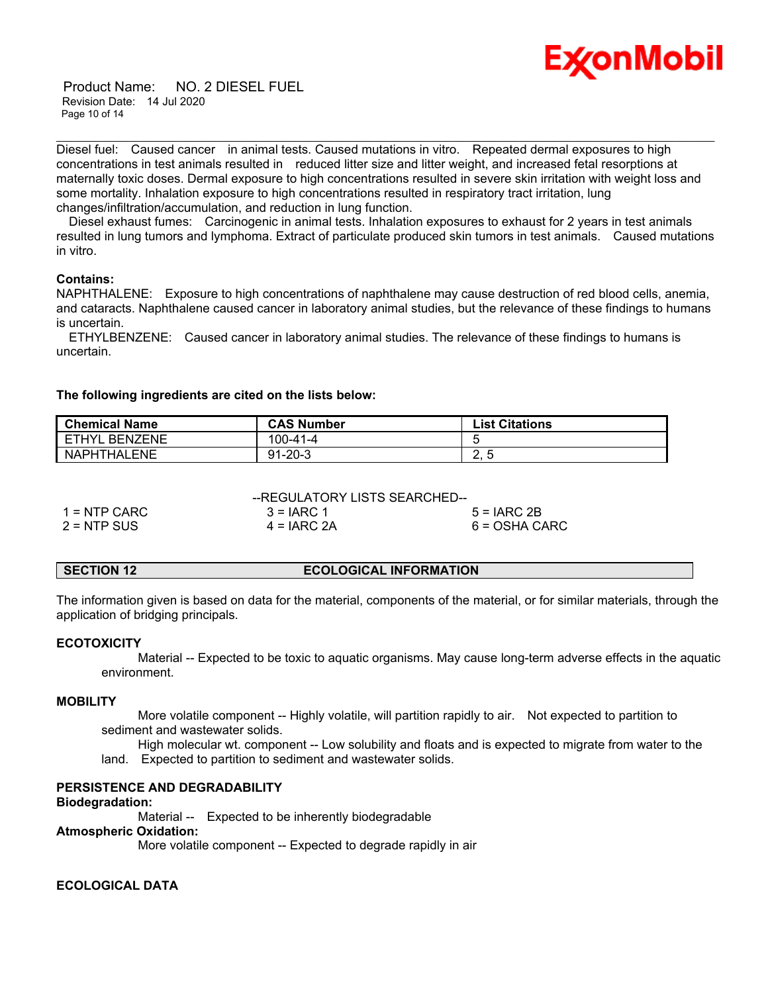

 Product Name: NO. 2 DIESEL FUEL Revision Date: 14 Jul 2020 Page 10 of 14

Diesel fuel: Caused cancer in animal tests. Caused mutations in vitro. Repeated dermal exposures to high concentrations in test animals resulted in reduced litter size and litter weight, and increased fetal resorptions at maternally toxic doses. Dermal exposure to high concentrations resulted in severe skin irritation with weight loss and some mortality. Inhalation exposure to high concentrations resulted in respiratory tract irritation, lung changes/infiltration/accumulation, and reduction in lung function.

\_\_\_\_\_\_\_\_\_\_\_\_\_\_\_\_\_\_\_\_\_\_\_\_\_\_\_\_\_\_\_\_\_\_\_\_\_\_\_\_\_\_\_\_\_\_\_\_\_\_\_\_\_\_\_\_\_\_\_\_\_\_\_\_\_\_\_\_\_\_\_\_\_\_\_\_\_\_\_\_\_\_\_\_\_\_\_\_\_\_\_\_\_\_\_\_\_\_\_\_\_\_\_\_\_\_\_\_\_\_\_\_\_\_\_\_\_\_

 Diesel exhaust fumes: Carcinogenic in animal tests. Inhalation exposures to exhaust for 2 years in test animals resulted in lung tumors and lymphoma. Extract of particulate produced skin tumors in test animals. Caused mutations in vitro.

### **Contains:**

NAPHTHALENE: Exposure to high concentrations of naphthalene may cause destruction of red blood cells, anemia, and cataracts. Naphthalene caused cancer in laboratory animal studies, but the relevance of these findings to humans is uncertain.

 ETHYLBENZENE: Caused cancer in laboratory animal studies. The relevance of these findings to humans is uncertain.

### **The following ingredients are cited on the lists below:**

| <b>Chemical Name</b>   | <b>CAS Number</b> | <b>List Citations</b> |
|------------------------|-------------------|-----------------------|
| <b>I ETHYL BENZENE</b> | 100-41-4          |                       |
| NAPHTHALENE            | $91 - 20 - 3$     | <u>.</u>              |

--REGULATORY LISTS SEARCHED--

| $1 =$ NTP CARC | $3 = IARC 1$  | $5 = IARC2B$  |
|----------------|---------------|---------------|
| $2 = NTP$ SUS  | $4 = IARC 2A$ | 6 = OSHA CARC |

| SECTION 12 | <b>ECOLOGICAL INFORMATION</b> |
|------------|-------------------------------|
|------------|-------------------------------|

The information given is based on data for the material, components of the material, or for similar materials, through the application of bridging principals.

#### **ECOTOXICITY**

 Material -- Expected to be toxic to aquatic organisms. May cause long-term adverse effects in the aquatic environment.

#### **MOBILITY**

 More volatile component -- Highly volatile, will partition rapidly to air. Not expected to partition to sediment and wastewater solids.

 High molecular wt. component -- Low solubility and floats and is expected to migrate from water to the land. Expected to partition to sediment and wastewater solids.

# **PERSISTENCE AND DEGRADABILITY**

#### **Biodegradation:**

Material -- Expected to be inherently biodegradable

#### **Atmospheric Oxidation:**

More volatile component -- Expected to degrade rapidly in air

# **ECOLOGICAL DATA**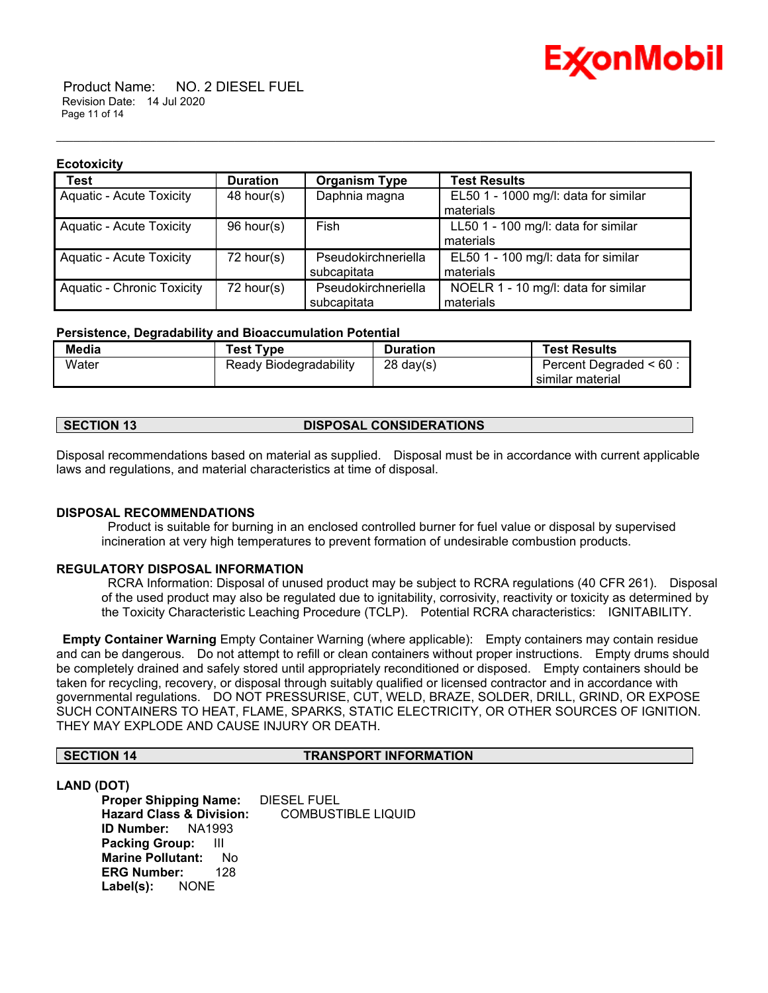

 Product Name: NO. 2 DIESEL FUEL Revision Date: 14 Jul 2020 Page 11 of 14

#### **Ecotoxicity**

| <b>Test</b>                       | <b>Duration</b> | <b>Organism Type</b> | <b>Test Results</b>                  |
|-----------------------------------|-----------------|----------------------|--------------------------------------|
| <b>Aquatic - Acute Toxicity</b>   | 48 hour(s)      | Daphnia magna        | EL50 1 - 1000 mg/l: data for similar |
|                                   |                 |                      | materials                            |
| <b>Aquatic - Acute Toxicity</b>   | 96 hour(s)      | Fish                 | LL50 1 - 100 mg/l: data for similar  |
|                                   |                 |                      | materials                            |
| <b>Aquatic - Acute Toxicity</b>   | 72 hour(s)      | Pseudokirchneriella  | EL50 1 - 100 mg/l: data for similar  |
|                                   |                 | subcapitata          | materials                            |
| <b>Aquatic - Chronic Toxicity</b> | 72 hour(s)      | Pseudokirchneriella  | NOELR 1 - 10 mg/l: data for similar  |
|                                   |                 | subcapitata          | materials                            |

\_\_\_\_\_\_\_\_\_\_\_\_\_\_\_\_\_\_\_\_\_\_\_\_\_\_\_\_\_\_\_\_\_\_\_\_\_\_\_\_\_\_\_\_\_\_\_\_\_\_\_\_\_\_\_\_\_\_\_\_\_\_\_\_\_\_\_\_\_\_\_\_\_\_\_\_\_\_\_\_\_\_\_\_\_\_\_\_\_\_\_\_\_\_\_\_\_\_\_\_\_\_\_\_\_\_\_\_\_\_\_\_\_\_\_\_\_\_

### **Persistence, Degradability and Bioaccumulation Potential**

| Media | <b>Test Type</b>       | <b>Duration</b>     | <b>Test Results</b>     |
|-------|------------------------|---------------------|-------------------------|
| Water | Ready Biodegradability | $28 \text{ day}(s)$ | Percent Degraded < 60 : |
|       |                        |                     | similar material        |

# **SECTION 13 DISPOSAL CONSIDERATIONS**

Disposal recommendations based on material as supplied. Disposal must be in accordance with current applicable laws and regulations, and material characteristics at time of disposal.

# **DISPOSAL RECOMMENDATIONS**

Product is suitable for burning in an enclosed controlled burner for fuel value or disposal by supervised incineration at very high temperatures to prevent formation of undesirable combustion products.

# **REGULATORY DISPOSAL INFORMATION**

RCRA Information: Disposal of unused product may be subject to RCRA regulations (40 CFR 261). Disposal of the used product may also be regulated due to ignitability, corrosivity, reactivity or toxicity as determined by the Toxicity Characteristic Leaching Procedure (TCLP). Potential RCRA characteristics: IGNITABILITY.

**Empty Container Warning** Empty Container Warning (where applicable): Empty containers may contain residue and can be dangerous. Do not attempt to refill or clean containers without proper instructions. Empty drums should be completely drained and safely stored until appropriately reconditioned or disposed. Empty containers should be taken for recycling, recovery, or disposal through suitably qualified or licensed contractor and in accordance with governmental regulations. DO NOT PRESSURISE, CUT, WELD, BRAZE, SOLDER, DRILL, GRIND, OR EXPOSE SUCH CONTAINERS TO HEAT, FLAME, SPARKS, STATIC ELECTRICITY, OR OTHER SOURCES OF IGNITION. THEY MAY EXPLODE AND CAUSE INJURY OR DEATH.

# **SECTION 14 TRANSPORT INFORMATION**

**LAND (DOT)**

**Proper Shipping Name:** DIESEL FUEL **Hazard Class & Division:** COMBUSTIBLE LIQUID **ID Number:** NA1993 **Packing Group:** III **Marine Pollutant:** No **ERG Number:** 128 **Label(s):** NONE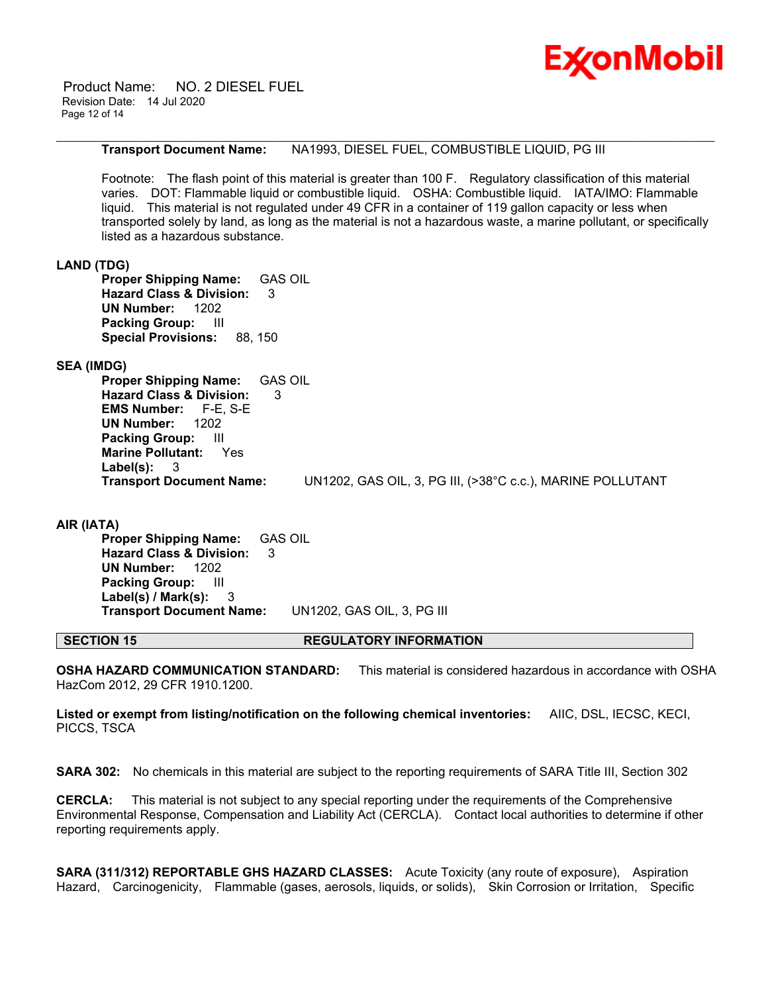

 Product Name: NO. 2 DIESEL FUEL Revision Date: 14 Jul 2020 Page 12 of 14

### **Transport Document Name:** NA1993, DIESEL FUEL, COMBUSTIBLE LIQUID, PG III

\_\_\_\_\_\_\_\_\_\_\_\_\_\_\_\_\_\_\_\_\_\_\_\_\_\_\_\_\_\_\_\_\_\_\_\_\_\_\_\_\_\_\_\_\_\_\_\_\_\_\_\_\_\_\_\_\_\_\_\_\_\_\_\_\_\_\_\_\_\_\_\_\_\_\_\_\_\_\_\_\_\_\_\_\_\_\_\_\_\_\_\_\_\_\_\_\_\_\_\_\_\_\_\_\_\_\_\_\_\_\_\_\_\_\_\_\_\_

Footnote: The flash point of this material is greater than 100 F. Regulatory classification of this material varies. DOT: Flammable liquid or combustible liquid. OSHA: Combustible liquid. IATA/IMO: Flammable liquid. This material is not regulated under 49 CFR in a container of 119 gallon capacity or less when transported solely by land, as long as the material is not a hazardous waste, a marine pollutant, or specifically listed as a hazardous substance.

# **LAND (TDG)**

**Proper Shipping Name:** GAS OIL **Hazard Class & Division:** 3 **UN Number:** 1202 **Packing Group:** III **Special Provisions:** 88, 150

# **SEA (IMDG)**

**Proper Shipping Name:** GAS OIL **Hazard Class & Division:** 3 **EMS Number:** F-E, S-E **UN Number:** 1202 **Packing Group:** III **Marine Pollutant:** Yes **Label(s):** 3 **Transport Document Name:** UN1202, GAS OIL, 3, PG III, (>38°C c.c.), MARINE POLLUTANT

**AIR (IATA) Proper Shipping Name:** GAS OIL **Hazard Class & Division:** 3 **UN Number:** 1202 **Packing Group:** III **Label(s) / Mark(s):** 3 **Transport Document Name:** UN1202, GAS OIL, 3, PG III

# **SECTION 15 REGULATORY INFORMATION**

**OSHA HAZARD COMMUNICATION STANDARD:** This material is considered hazardous in accordance with OSHA HazCom 2012, 29 CFR 1910.1200.

**Listed or exempt from listing/notification on the following chemical inventories:** AIIC, DSL, IECSC, KECI, PICCS, TSCA

**SARA 302:** No chemicals in this material are subject to the reporting requirements of SARA Title III, Section 302

**CERCLA:** This material is not subject to any special reporting under the requirements of the Comprehensive Environmental Response, Compensation and Liability Act (CERCLA). Contact local authorities to determine if other reporting requirements apply.

**SARA (311/312) REPORTABLE GHS HAZARD CLASSES:** Acute Toxicity (any route of exposure), Aspiration Hazard, Carcinogenicity, Flammable (gases, aerosols, liquids, or solids), Skin Corrosion or Irritation, Specific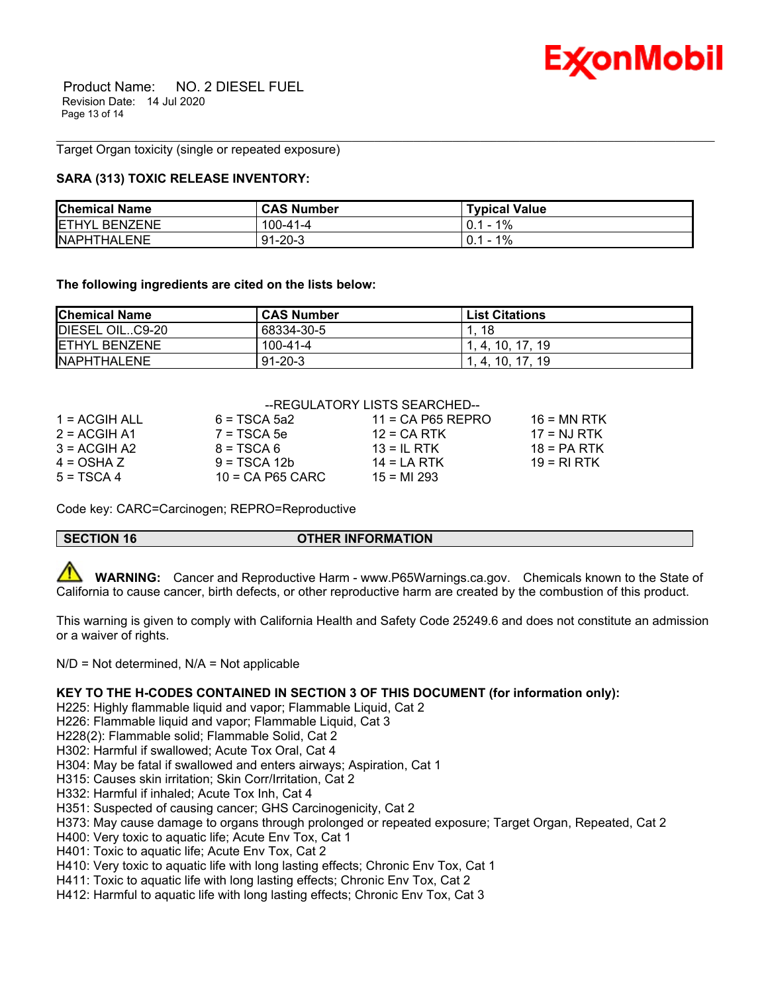

 Product Name: NO. 2 DIESEL FUEL Revision Date: 14 Jul 2020 Page 13 of 14

Target Organ toxicity (single or repeated exposure)

# **SARA (313) TOXIC RELEASE INVENTORY:**

| <b>Chemical Name</b> | <b>CAS Number</b> | <b>Typical Value</b> |
|----------------------|-------------------|----------------------|
| <b>ETHYL BENZENE</b> | $100 - 41 - 4$    | 1%<br>$0.1 -$        |
| <b>NAPHTHALENE</b>   | $91 - 20 - 3$     | 1%<br>$0.1 -$        |

\_\_\_\_\_\_\_\_\_\_\_\_\_\_\_\_\_\_\_\_\_\_\_\_\_\_\_\_\_\_\_\_\_\_\_\_\_\_\_\_\_\_\_\_\_\_\_\_\_\_\_\_\_\_\_\_\_\_\_\_\_\_\_\_\_\_\_\_\_\_\_\_\_\_\_\_\_\_\_\_\_\_\_\_\_\_\_\_\_\_\_\_\_\_\_\_\_\_\_\_\_\_\_\_\_\_\_\_\_\_\_\_\_\_\_\_\_\_

**The following ingredients are cited on the lists below:**

| <b>Chemical Name</b> | <b>CAS Number</b> | <b>List Citations</b> |
|----------------------|-------------------|-----------------------|
| DIESEL OILC9-20      | 68334-30-5        | 18                    |
| <b>ETHYL BENZENE</b> | 100-41-4          | 1.4.10.17.19          |
| NAPHTHALENE          | $91 - 20 - 3$     | 1.4.10.17.19          |

#### --REGULATORY LISTS SEARCHED--

| 1 = ACGIH ALL  | $6 = TSCA$ 5a2     | $11 = CA$ P65 REPRO | $16 = MN$ RTK |
|----------------|--------------------|---------------------|---------------|
| $2 = ACGIH A1$ | $7 = TSCA5e$       | $12$ = CA RTK       | $17 = NJ RTK$ |
| $3 = ACGIH A2$ | $8 = TSCA6$        | $13 = IL$ RTK       | $18 = PA RTK$ |
| $4 = OSHA Z$   | $9 = TSCA 12b$     | $14 = I A RTK$      | $19 = RIRTK$  |
| $5 = TSCA4$    | $10 = CA$ P65 CARC | $15 = M1 293$       |               |

Code key: CARC=Carcinogen; REPRO=Reproductive

# **SECTION 16 OTHER INFORMATION**

 **WARNING:** Cancer and Reproductive Harm - www.P65Warnings.ca.gov. Chemicals known to the State of California to cause cancer, birth defects, or other reproductive harm are created by the combustion of this product.

This warning is given to comply with California Health and Safety Code 25249.6 and does not constitute an admission or a waiver of rights.

 $N/D$  = Not determined,  $N/A$  = Not applicable

# **KEY TO THE H-CODES CONTAINED IN SECTION 3 OF THIS DOCUMENT (for information only):**

H225: Highly flammable liquid and vapor; Flammable Liquid, Cat 2

- H226: Flammable liquid and vapor; Flammable Liquid, Cat 3
- H228(2): Flammable solid; Flammable Solid, Cat 2

H302: Harmful if swallowed; Acute Tox Oral, Cat 4

H304: May be fatal if swallowed and enters airways; Aspiration, Cat 1

H315: Causes skin irritation; Skin Corr/Irritation, Cat 2

H332: Harmful if inhaled; Acute Tox Inh, Cat 4

H351: Suspected of causing cancer; GHS Carcinogenicity, Cat 2

H373: May cause damage to organs through prolonged or repeated exposure; Target Organ, Repeated, Cat 2

H400: Very toxic to aquatic life; Acute Env Tox, Cat 1

H401: Toxic to aquatic life; Acute Env Tox, Cat 2

H410: Very toxic to aquatic life with long lasting effects; Chronic Env Tox, Cat 1

H411: Toxic to aquatic life with long lasting effects; Chronic Env Tox, Cat 2

H412: Harmful to aquatic life with long lasting effects; Chronic Env Tox, Cat 3